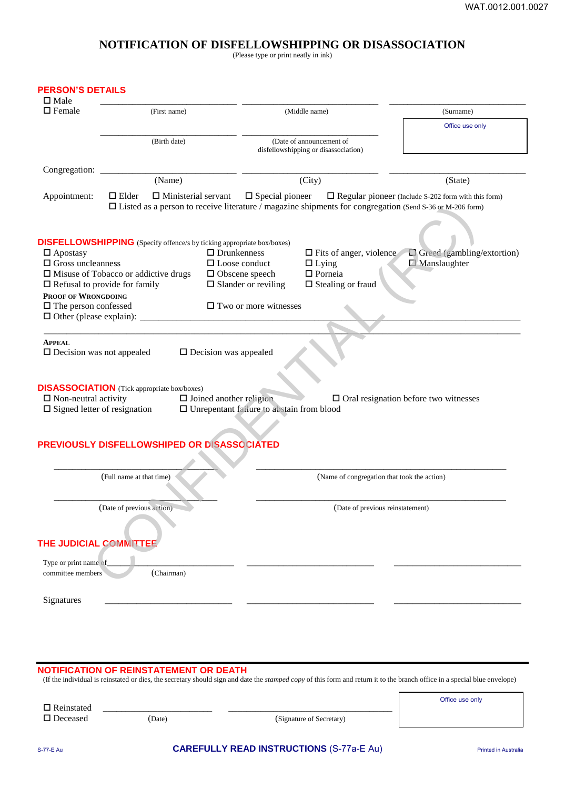# **NOTIFICATION OF DISFELLOWSHIPPING OR DISASSOCIATION**

(Please type or print neatly in ink)

| <b>PERSON'S DETAILS</b><br>$\Box$ Male                                                                   |                                                                                                                                                                      |                                                                                                                                      |                                                                                                                                                                                                         |                                                          |  |
|----------------------------------------------------------------------------------------------------------|----------------------------------------------------------------------------------------------------------------------------------------------------------------------|--------------------------------------------------------------------------------------------------------------------------------------|---------------------------------------------------------------------------------------------------------------------------------------------------------------------------------------------------------|----------------------------------------------------------|--|
| $\Box$ Female                                                                                            | (First name)                                                                                                                                                         |                                                                                                                                      | (Middle name)                                                                                                                                                                                           | (Surname)                                                |  |
|                                                                                                          |                                                                                                                                                                      |                                                                                                                                      |                                                                                                                                                                                                         | Office use only                                          |  |
|                                                                                                          | (Birth date)                                                                                                                                                         |                                                                                                                                      | (Date of announcement of<br>disfellowshipping or disassociation)                                                                                                                                        |                                                          |  |
|                                                                                                          |                                                                                                                                                                      |                                                                                                                                      |                                                                                                                                                                                                         |                                                          |  |
| Congregation:                                                                                            | (Name)                                                                                                                                                               |                                                                                                                                      | (City)                                                                                                                                                                                                  | (State)                                                  |  |
| Appointment:                                                                                             | $\Box$ Elder<br>$\Box$ Ministerial servant                                                                                                                           |                                                                                                                                      | $\Box$ Special pioneer<br>$\Box$ Regular pioneer (Include S-202 form with this form)<br>$\Box$ Listed as a person to receive literature / magazine shipments for congregation (Send S-36 or M-206 form) |                                                          |  |
| $\Box$ Apostasy<br>$\Box$ Gross uncleanness<br><b>PROOF OF WRONGDOING</b><br>$\Box$ The person confessed | <b>DISFELLOWSHIPPING</b> (Specify offence/s by ticking appropriate box/boxes)<br>$\Box$ Misuse of Tobacco or addictive drugs<br>$\Box$ Refusal to provide for family | $\Box$ Drunkenness<br>$\Box$ Loose conduct<br>$\Box$ Obscene speech<br>$\square$ Slander or reviling<br>$\Box$ Two or more witnesses | $\Box$ Fits of anger, violence<br>$\Box$ Lying<br>$\square$ Porneia<br>$\Box$ Stealing or fraud                                                                                                         | $\Box$ Greed (gambling/extortion)<br>$\Box$ Manslaughter |  |
| $\Box$ Decision was not appealed<br>$\Box$ Non-neutral activity<br>$\Box$ Signed letter of resignation   | <b>DISASSOCIATION</b> (Tick appropriate box/boxes)<br>PREVIOUSLY DISFELLOWSHIPED OR DISASSOCIATED                                                                    | $\square$ Decision was appealed<br>$\square$ Joined another religion<br>□ Unrepentant failure to abstain from blood                  |                                                                                                                                                                                                         | $\Box$ Oral resignation before two witnesses             |  |
|                                                                                                          | (Full name at that time)                                                                                                                                             |                                                                                                                                      | (Name of congregation that took the action)                                                                                                                                                             |                                                          |  |
|                                                                                                          | (Date of previous action)                                                                                                                                            |                                                                                                                                      | (Date of previous reinstatement)                                                                                                                                                                        |                                                          |  |
|                                                                                                          |                                                                                                                                                                      |                                                                                                                                      |                                                                                                                                                                                                         |                                                          |  |
|                                                                                                          |                                                                                                                                                                      |                                                                                                                                      |                                                                                                                                                                                                         |                                                          |  |
|                                                                                                          |                                                                                                                                                                      |                                                                                                                                      |                                                                                                                                                                                                         |                                                          |  |
| THE JUDICIAL COMMITTEE<br>Type or print name of<br>committee members                                     | (Chairman)                                                                                                                                                           |                                                                                                                                      |                                                                                                                                                                                                         |                                                          |  |
| Signatures                                                                                               |                                                                                                                                                                      |                                                                                                                                      |                                                                                                                                                                                                         |                                                          |  |
|                                                                                                          |                                                                                                                                                                      |                                                                                                                                      |                                                                                                                                                                                                         |                                                          |  |

# **NOTIFICATION OF REINSTATEMENT OR DEATH**

(If the individual is reinstated or dies, the secretary should sign and date the *stamped copy* of this form and return it to the branch office in a special blue envelope)

| к.    |                   |                          |
|-------|-------------------|--------------------------|
| 10009 | , <i>D</i> ate) ∶ | (Signature of Secretary) |

Office use only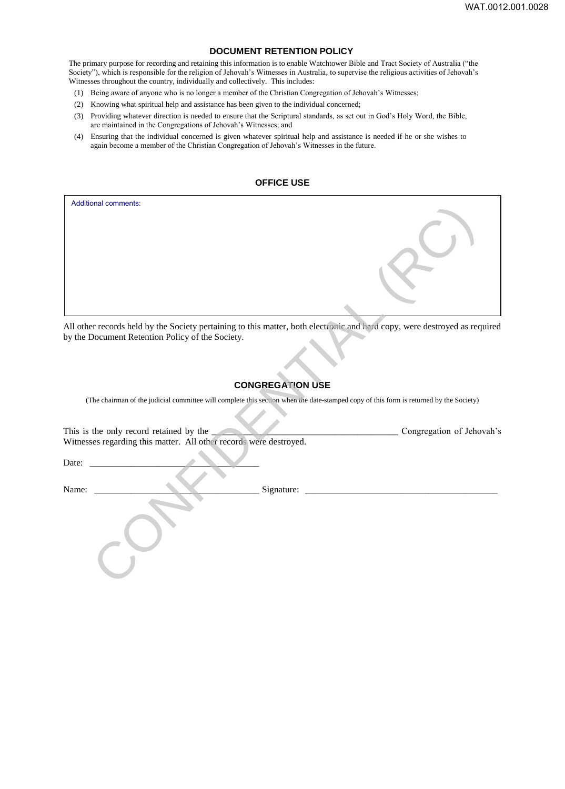## **DOCUMENT RETENTION POLICY**

The primary purpose for recording and retaining this information is to enable Watchtower Bible and Tract Society of Australia ("the Society"), which is responsible for the religion of Jehovah's Witnesses in Australia, to supervise the religious activities of Jehovah's Witnesses throughout the country, individually and collectively. This includes:

- (1) Being aware of anyone who is no longer a member of the Christian Congregation of Jehovah's Witnesses;
- (2) Knowing what spiritual help and assistance has been given to the individual concerned;
- (3) Providing whatever direction is needed to ensure that the Scriptural standards, as set out in God's Holy Word, the Bible, are maintained in the Congregations of Jehovah's Witnesses; and
- (4) Ensuring that the individual concerned is given whatever spiritual help and assistance is needed if he or she wishes to again become a member of the Christian Congregation of Jehovah's Witnesses in the future.

| <b>Additional comments:</b>                                                                                                            |                           |
|----------------------------------------------------------------------------------------------------------------------------------------|---------------------------|
|                                                                                                                                        |                           |
|                                                                                                                                        |                           |
|                                                                                                                                        |                           |
|                                                                                                                                        |                           |
|                                                                                                                                        |                           |
|                                                                                                                                        |                           |
| All other records held by the Society pertaining to this matter, both electronic and hard copy, were destroyed as required             |                           |
| by the Document Retention Policy of the Society.                                                                                       |                           |
|                                                                                                                                        |                           |
|                                                                                                                                        |                           |
| <b>CONGREGATION USE</b>                                                                                                                |                           |
| (The chairman of the judicial committee will complete this section when the date-stamped copy of this form is returned by the Society) |                           |
|                                                                                                                                        |                           |
| This is the only record retained by the<br>Witnesses regarding this matter. All other records were destroyed.                          | Congregation of Jehovah's |
|                                                                                                                                        |                           |
| Date:                                                                                                                                  |                           |
| Name:                                                                                                                                  |                           |
|                                                                                                                                        |                           |
|                                                                                                                                        |                           |
|                                                                                                                                        |                           |
|                                                                                                                                        |                           |
|                                                                                                                                        |                           |
|                                                                                                                                        |                           |

### **CONGREGATION USE**

| This is the only record retained by the<br>Witnesses regarding this matter. All other records were destroyed. | Congregation of Jehovah's |
|---------------------------------------------------------------------------------------------------------------|---------------------------|
| Date:                                                                                                         |                           |